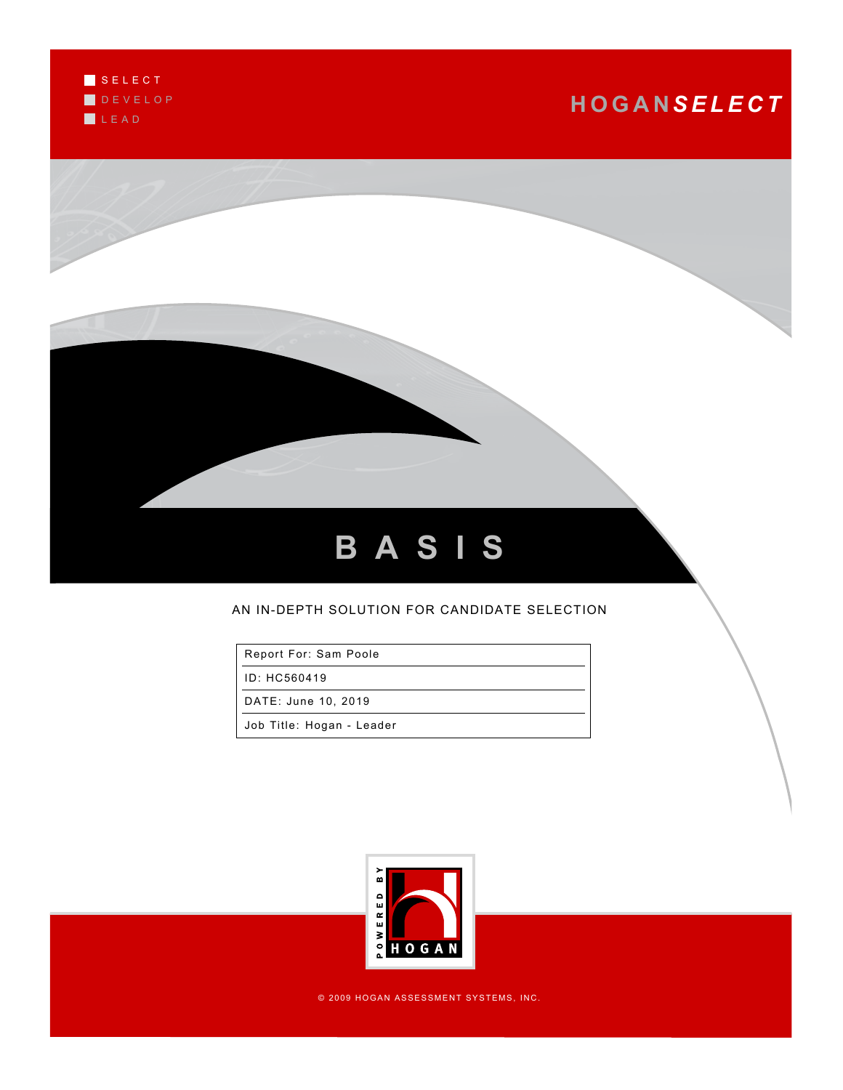

# **H O G A N***S E L E C T*



### AN IN-DEPTH SOLUTION FOR CANDIDATE SELECTION

Report For: Sam Poole

ID: HC560419

DATE: June 10, 2019

Job Title: Hogan - Leader



© 2009 HOGAN ASSESSMENT SYSTEMS, INC.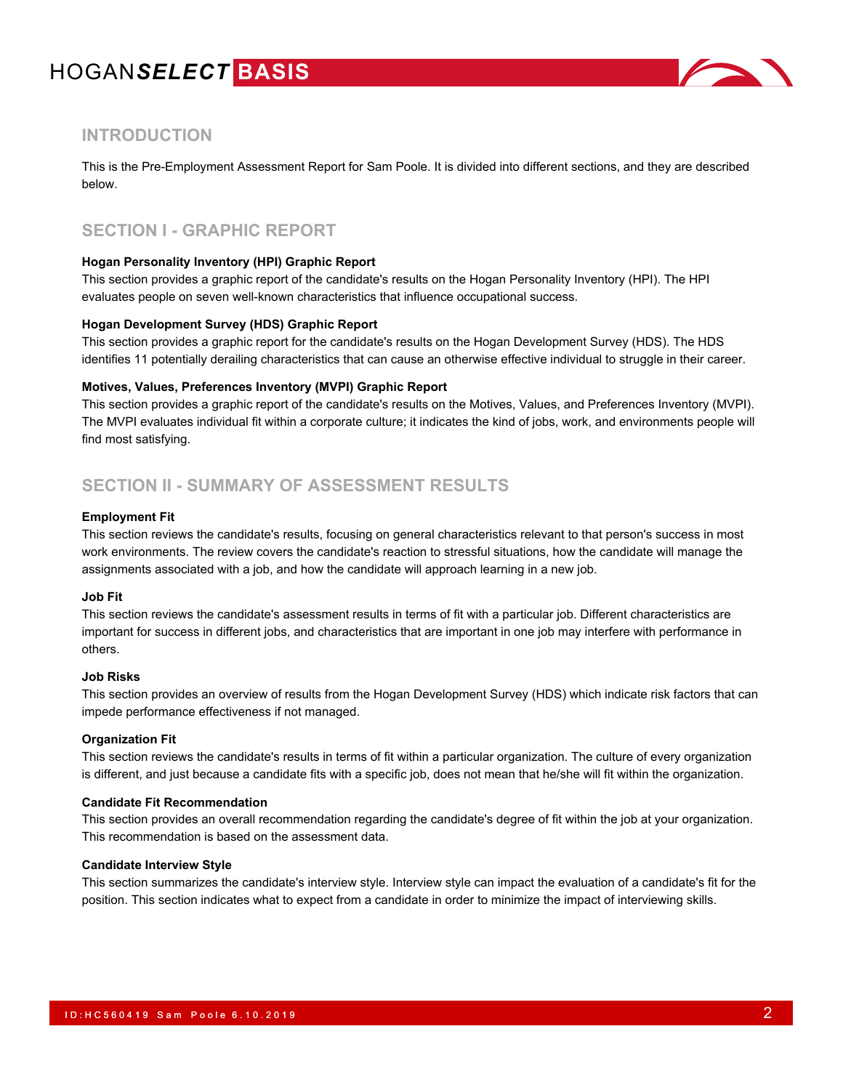

### **INTRODUCTION**

This is the Pre-Employment Assessment Report for Sam Poole. It is divided into different sections, and they are described below.

### **SECTION I - GRAPHIC REPORT**

### **Hogan Personality Inventory (HPI) Graphic Report**

This section provides a graphic report of the candidate's results on the Hogan Personality Inventory (HPI). The HPI evaluates people on seven well-known characteristics that influence occupational success.

#### **Hogan Development Survey (HDS) Graphic Report**

This section provides a graphic report for the candidate's results on the Hogan Development Survey (HDS). The HDS identifies 11 potentially derailing characteristics that can cause an otherwise effective individual to struggle in their career.

#### **Motives, Values, Preferences Inventory (MVPI) Graphic Report**

This section provides a graphic report of the candidate's results on the Motives, Values, and Preferences Inventory (MVPI). The MVPI evaluates individual fit within a corporate culture; it indicates the kind of jobs, work, and environments people will find most satisfying.

### **SECTION II - SUMMARY OF ASSESSMENT RESULTS**

#### **Employment Fit**

This section reviews the candidate's results, focusing on general characteristics relevant to that person's success in most work environments. The review covers the candidate's reaction to stressful situations, how the candidate will manage the assignments associated with a job, and how the candidate will approach learning in a new job.

### **Job Fit**

This section reviews the candidate's assessment results in terms of fit with a particular job. Different characteristics are important for success in different jobs, and characteristics that are important in one job may interfere with performance in others.

#### **Job Risks**

This section provides an overview of results from the Hogan Development Survey (HDS) which indicate risk factors that can impede performance effectiveness if not managed.

#### **Organization Fit**

This section reviews the candidate's results in terms of fit within a particular organization. The culture of every organization is different, and just because a candidate fits with a specific job, does not mean that he/she will fit within the organization.

#### **Candidate Fit Recommendation**

This section provides an overall recommendation regarding the candidate's degree of fit within the job at your organization. This recommendation is based on the assessment data.

### **Candidate Interview Style**

This section summarizes the candidate's interview style. Interview style can impact the evaluation of a candidate's fit for the position. This section indicates what to expect from a candidate in order to minimize the impact of interviewing skills.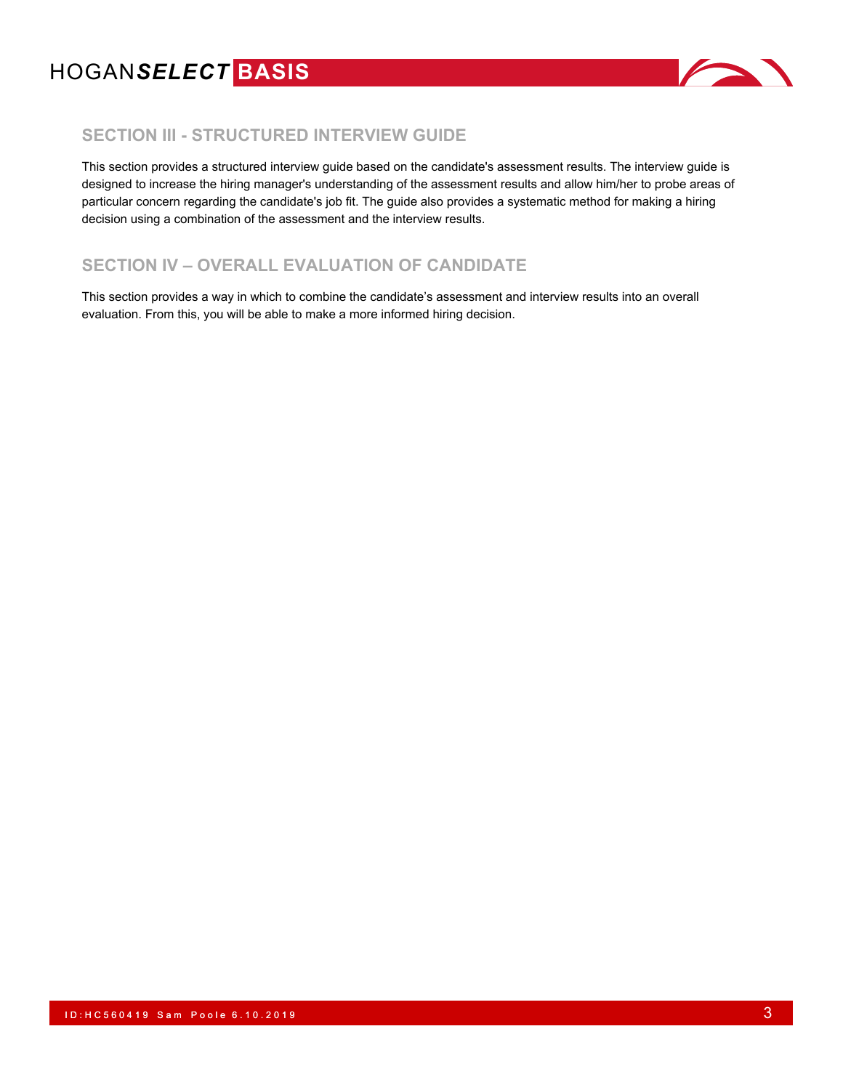

### **SECTION III - STRUCTURED INTERVIEW GUIDE**

This section provides a structured interview guide based on the candidate's assessment results. The interview guide is designed to increase the hiring manager's understanding of the assessment results and allow him/her to probe areas of particular concern regarding the candidate's job fit. The guide also provides a systematic method for making a hiring decision using a combination of the assessment and the interview results.

## **SECTION IV – OVERALL EVALUATION OF CANDIDATE**

This section provides a way in which to combine the candidate's assessment and interview results into an overall evaluation. From this, you will be able to make a more informed hiring decision.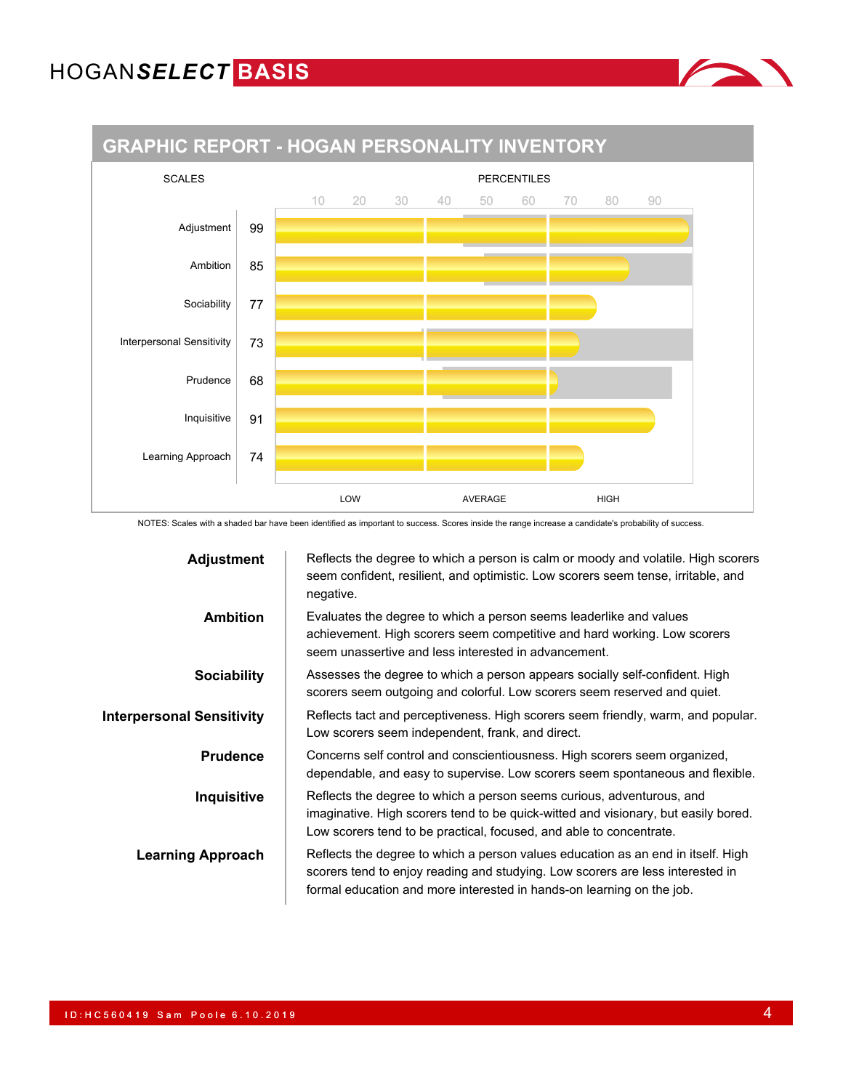

NOTES: Scales with a shaded bar have been identified as important to success. Scores inside the range increase a candidate's probability of success.

| <b>Adjustment</b>                | Reflects the degree to which a person is calm or moody and volatile. High scorers<br>seem confident, resilient, and optimistic. Low scorers seem tense, irritable, and<br>negative.                                                         |
|----------------------------------|---------------------------------------------------------------------------------------------------------------------------------------------------------------------------------------------------------------------------------------------|
| <b>Ambition</b>                  | Evaluates the degree to which a person seems leaderlike and values<br>achievement. High scorers seem competitive and hard working. Low scorers<br>seem unassertive and less interested in advancement.                                      |
| <b>Sociability</b>               | Assesses the degree to which a person appears socially self-confident. High<br>scorers seem outgoing and colorful. Low scorers seem reserved and quiet.                                                                                     |
| <b>Interpersonal Sensitivity</b> | Reflects tact and perceptiveness. High scorers seem friendly, warm, and popular.<br>Low scorers seem independent, frank, and direct.                                                                                                        |
| <b>Prudence</b>                  | Concerns self control and conscientiousness. High scorers seem organized,<br>dependable, and easy to supervise. Low scorers seem spontaneous and flexible.                                                                                  |
| Inquisitive                      | Reflects the degree to which a person seems curious, adventurous, and<br>imaginative. High scorers tend to be quick-witted and visionary, but easily bored.<br>Low scorers tend to be practical, focused, and able to concentrate.          |
| <b>Learning Approach</b>         | Reflects the degree to which a person values education as an end in itself. High<br>scorers tend to enjoy reading and studying. Low scorers are less interested in<br>formal education and more interested in hands-on learning on the job. |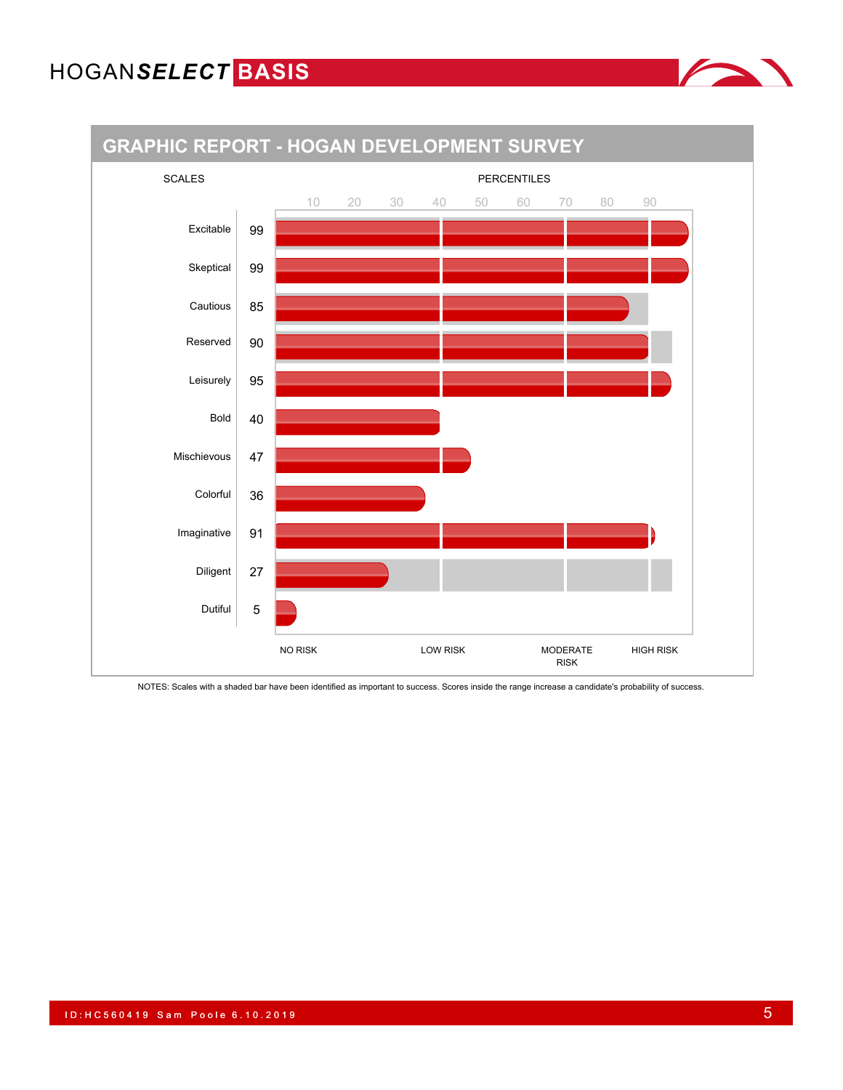



NOTES: Scales with a shaded bar have been identified as important to success. Scores inside the range increase a candidate's probability of success.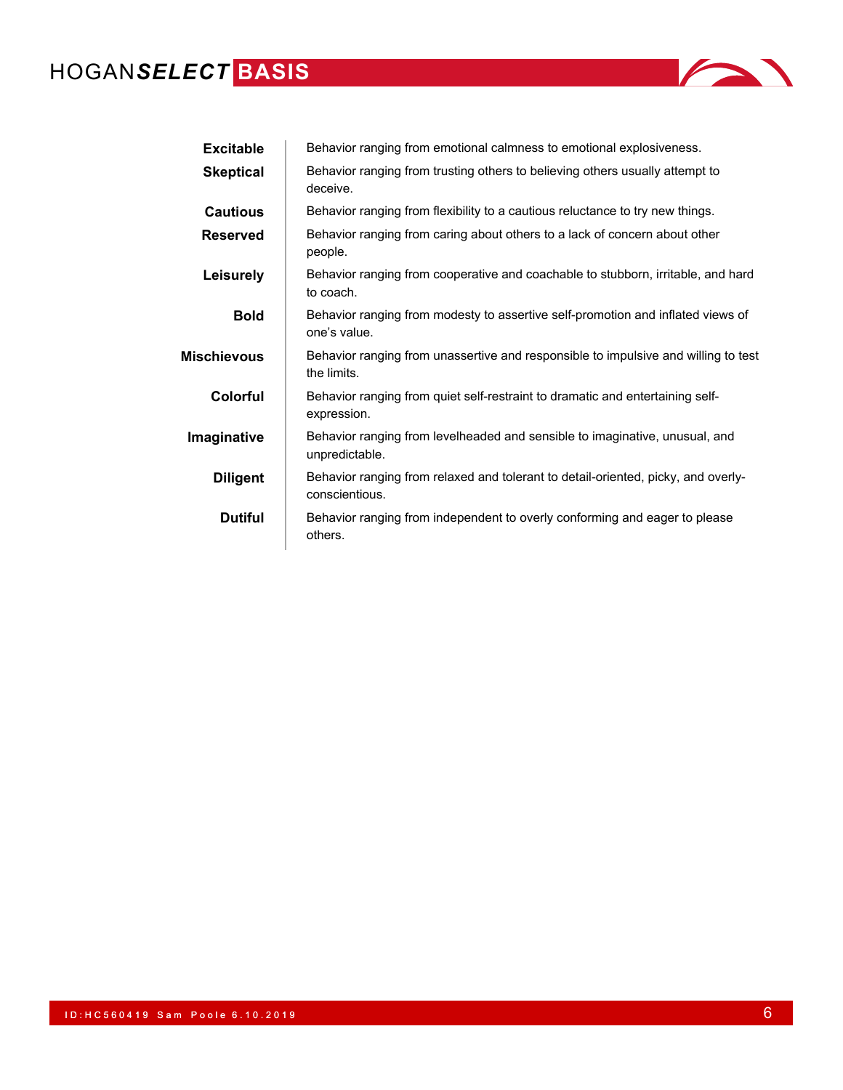

| <b>Excitable</b> | Behavior ranging from emotional calmness to emotional explosiveness.                                |
|------------------|-----------------------------------------------------------------------------------------------------|
| <b>Skeptical</b> | Behavior ranging from trusting others to believing others usually attempt to<br>deceive.            |
| <b>Cautious</b>  | Behavior ranging from flexibility to a cautious reluctance to try new things.                       |
| <b>Reserved</b>  | Behavior ranging from caring about others to a lack of concern about other<br>people.               |
| Leisurely        | Behavior ranging from cooperative and coachable to stubborn, irritable, and hard<br>to coach.       |
| <b>Bold</b>      | Behavior ranging from modesty to assertive self-promotion and inflated views of<br>one's value.     |
| Mischievous      | Behavior ranging from unassertive and responsible to impulsive and willing to test<br>the limits.   |
| Colorful         | Behavior ranging from quiet self-restraint to dramatic and entertaining self-<br>expression.        |
| Imaginative      | Behavior ranging from levelheaded and sensible to imaginative, unusual, and<br>unpredictable.       |
| <b>Diligent</b>  | Behavior ranging from relaxed and tolerant to detail-oriented, picky, and overly-<br>conscientious. |
| <b>Dutiful</b>   | Behavior ranging from independent to overly conforming and eager to please<br>others.               |
|                  |                                                                                                     |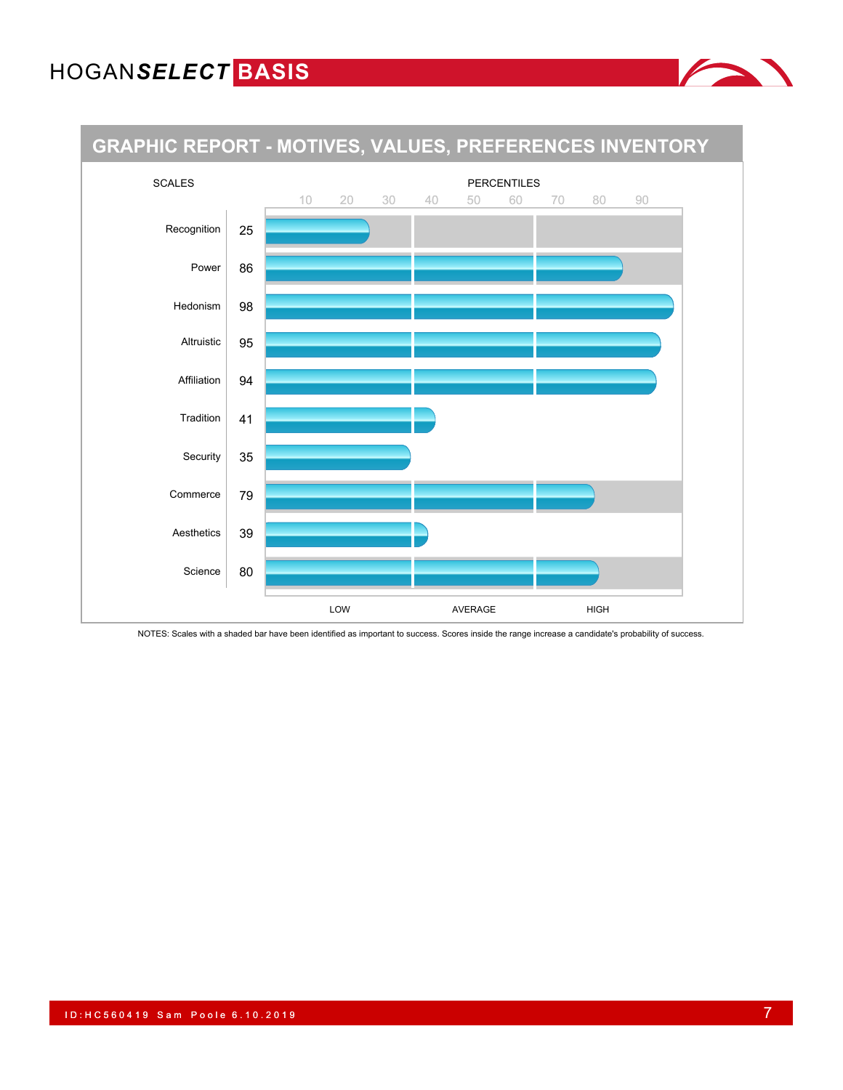

NOTES: Scales with a shaded bar have been identified as important to success. Scores inside the range increase a candidate's probability of success.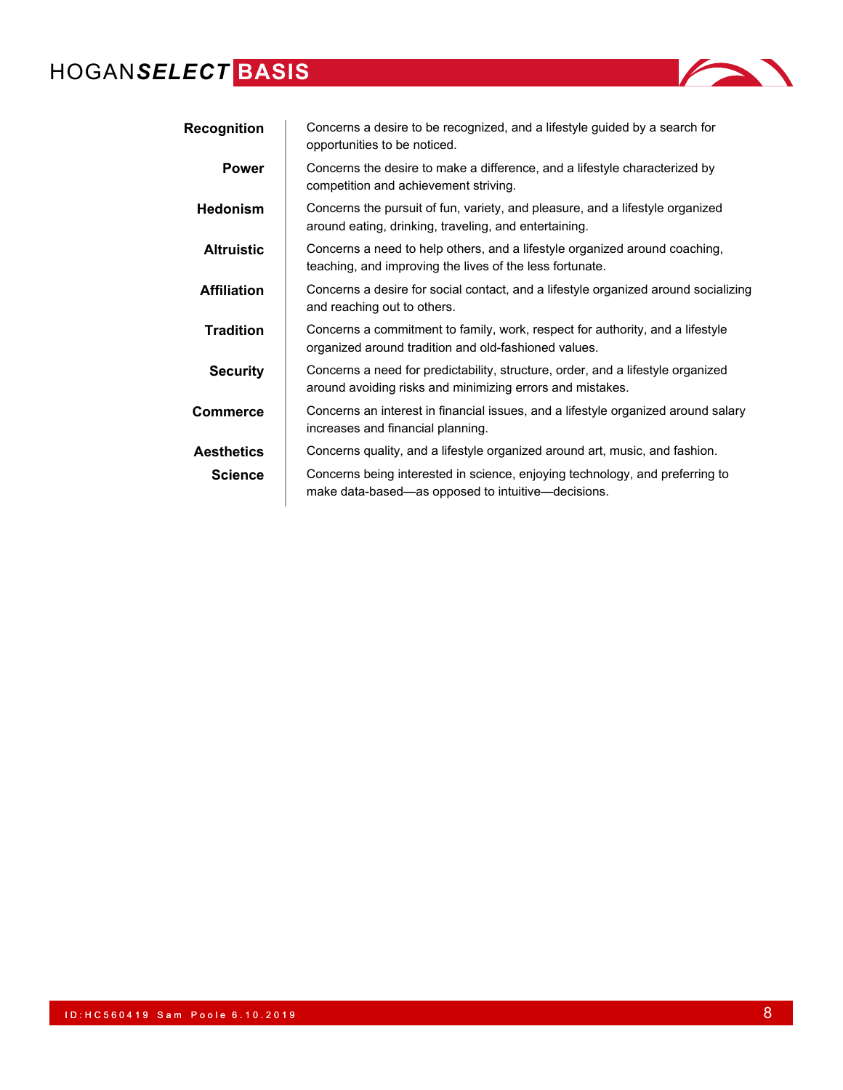| <i>ECI</i> BASIS   |                                                                                                                                        |
|--------------------|----------------------------------------------------------------------------------------------------------------------------------------|
| <b>Recognition</b> | Concerns a desire to be recognized, and a lifestyle guided by a search for<br>opportunities to be noticed.                             |
| <b>Power</b>       | Concerns the desire to make a difference, and a lifestyle characterized by<br>competition and achievement striving.                    |
| <b>Hedonism</b>    | Concerns the pursuit of fun, variety, and pleasure, and a lifestyle organized<br>around eating, drinking, traveling, and entertaining. |
| <b>Altruistic</b>  | Concerns a need to help others, and a lifestyle organized around coaching,<br>teaching, and improving the lives of the less fortunate. |
| <b>Affiliation</b> | Concerns a desire for social contact, and a lifestyle organized around socializing<br>and reaching out to others.                      |
| <b>Tradition</b>   | Concerns a commitment to family, work, respect for authority, and a lifestyle                                                          |

organized around tradition and old-fashioned values.

**Aesthetics** Concerns quality, and a lifestyle organized around art, music, and fashion. **Science** Concerns being interested in science, enjoying technology, and preferring to make data-based—as opposed to intuitive—decisions.

increases and financial planning.

**Security** Concerns a need for predictability, structure, order, and a lifestyle organized around avoiding risks and minimizing errors and mistakes. **Commerce** Concerns an interest in financial issues, and a lifestyle organized around salary

ID : HC 560 419 Sam Poole 6.10.2019 **8**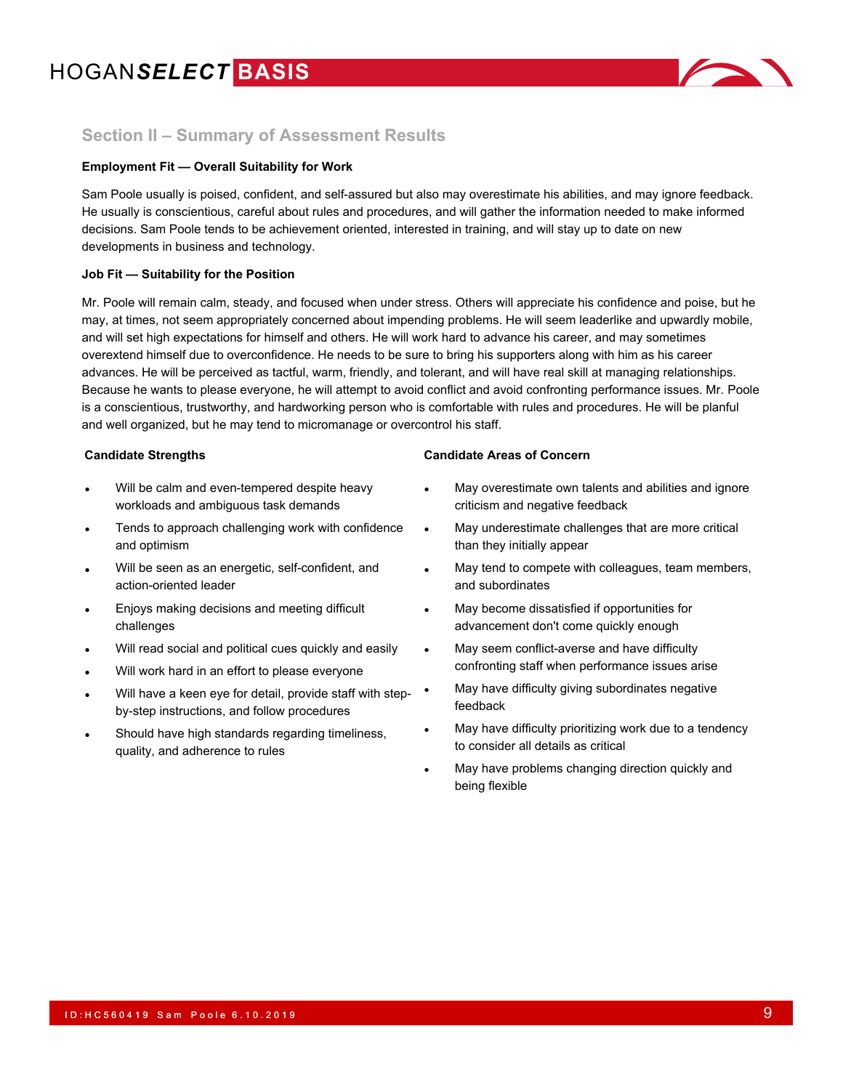

### **Section II – Summary of Assessment Results**

### **Employment Fit — Overall Suitability for Work**

Sam Poole usually is poised, confident, and self-assured but also may overestimate his abilities, and may ignore feedback. He usually is conscientious, careful about rules and procedures, and will gather the information needed to make informed decisions. Sam Poole tends to be achievement oriented, interested in training, and will stay up to date on new developments in business and technology.

### **Job Fit — Suitability for the Position**

Mr. Poole will remain calm, steady, and focused when under stress. Others will appreciate his confidence and poise, but he may, at times, not seem appropriately concerned about impending problems. He will seem leaderlike and upwardly mobile, and will set high expectations for himself and others. He will work hard to advance his career, and may sometimes overextend himself due to overconfidence. He needs to be sure to bring his supporters along with him as his career advances. He will be perceived as tactful, warm, friendly, and tolerant, and will have real skill at managing relationships. Because he wants to please everyone, he will attempt to avoid conflict and avoid confronting performance issues. Mr. Poole is a conscientious, trustworthy, and hardworking person who is comfortable with rules and procedures. He will be planful and well organized, but he may tend to micromanage or overcontrol his staff.

- Will be calm and even-tempered despite heavy workloads and ambiguous task demands
- Tends to approach challenging work with confidence and optimism
- Will be seen as an energetic, self-confident, and action-oriented leader
- Enjoys making decisions and meeting difficult challenges
- Will read social and political cues quickly and easily
- Will work hard in an effort to please everyone
- Will have a keen eye for detail, provide staff with stepby-step instructions, and follow procedures
- Should have high standards regarding timeliness, quality, and adherence to rules

### **Candidate Strengths Candidate Areas of Concern**

- May overestimate own talents and abilities and ignore criticism and negative feedback
- May underestimate challenges that are more critical than they initially appear
- May tend to compete with colleagues, team members, and subordinates
- May become dissatisfied if opportunities for advancement don't come quickly enough
- May seem conflict-averse and have difficulty confronting staff when performance issues arise
- May have difficulty giving subordinates negative feedback
- May have difficulty prioritizing work due to a tendency to consider all details as critical
- May have problems changing direction quickly and being flexible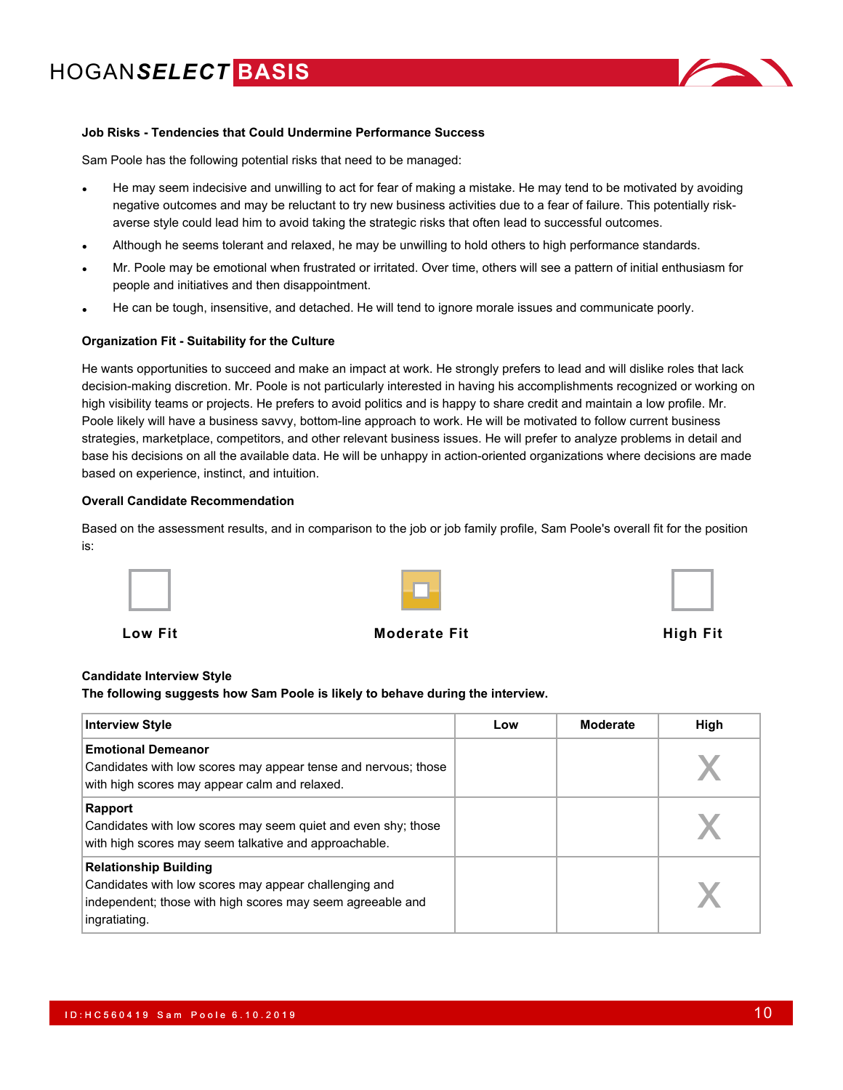

### **Job Risks - Tendencies that Could Undermine Performance Success**

Sam Poole has the following potential risks that need to be managed:

- He may seem indecisive and unwilling to act for fear of making a mistake. He may tend to be motivated by avoiding negative outcomes and may be reluctant to try new business activities due to a fear of failure. This potentially riskaverse style could lead him to avoid taking the strategic risks that often lead to successful outcomes.
- Although he seems tolerant and relaxed, he may be unwilling to hold others to high performance standards.
- Mr. Poole may be emotional when frustrated or irritated. Over time, others will see a pattern of initial enthusiasm for people and initiatives and then disappointment.
- He can be tough, insensitive, and detached. He will tend to ignore morale issues and communicate poorly.

#### **Organization Fit - Suitability for the Culture**

He wants opportunities to succeed and make an impact at work. He strongly prefers to lead and will dislike roles that lack decision-making discretion. Mr. Poole is not particularly interested in having his accomplishments recognized or working on high visibility teams or projects. He prefers to avoid politics and is happy to share credit and maintain a low profile. Mr. Poole likely will have a business savvy, bottom-line approach to work. He will be motivated to follow current business strategies, marketplace, competitors, and other relevant business issues. He will prefer to analyze problems in detail and base his decisions on all the available data. He will be unhappy in action-oriented organizations where decisions are made based on experience, instinct, and intuition.

#### **Overall Candidate Recommendation**

Based on the assessment results, and in comparison to the job or job family profile, Sam Poole's overall fit for the position is:





**Low Fit Moderate Fit High Fit**

#### **Candidate Interview Style**

**The following suggests how Sam Poole is likely to behave during the interview.**

| <b>Interview Style</b>                                                                                                                                               | Low | Moderate | High |
|----------------------------------------------------------------------------------------------------------------------------------------------------------------------|-----|----------|------|
| <b>Emotional Demeanor</b><br>Candidates with low scores may appear tense and nervous; those<br>with high scores may appear calm and relaxed.                         |     |          |      |
| Rapport<br>Candidates with low scores may seem quiet and even shy; those<br>with high scores may seem talkative and approachable.                                    |     |          |      |
| <b>Relationship Building</b><br>Candidates with low scores may appear challenging and<br>independent; those with high scores may seem agreeable and<br>ingratiating. |     |          |      |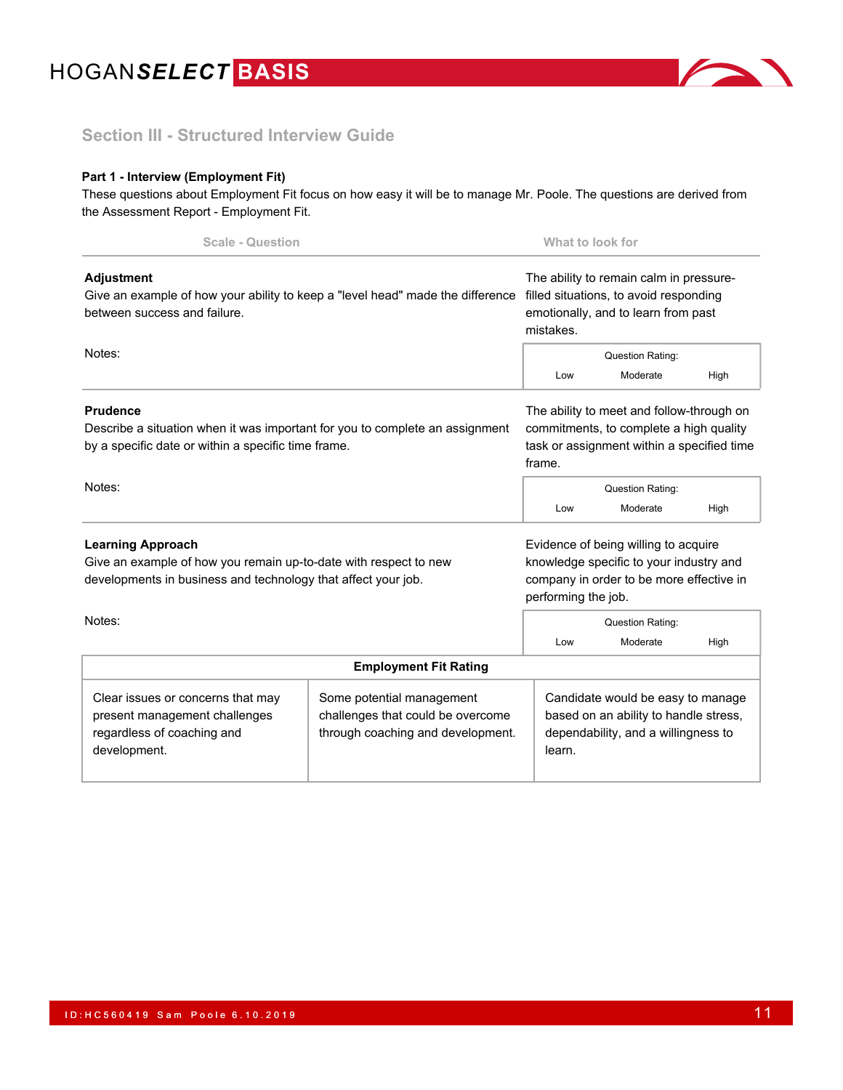

### **Section III - Structured Interview Guide**

### **Part 1 - Interview (Employment Fit)**

These questions about Employment Fit focus on how easy it will be to manage Mr. Poole. The questions are derived from the Assessment Report - Employment Fit.

| <b>Scale - Question</b>                                                                                                                                       |                                                                                                     | What to look for                                                                                                                      |                                                                                                                                    |      |
|---------------------------------------------------------------------------------------------------------------------------------------------------------------|-----------------------------------------------------------------------------------------------------|---------------------------------------------------------------------------------------------------------------------------------------|------------------------------------------------------------------------------------------------------------------------------------|------|
| <b>Adjustment</b><br>Give an example of how your ability to keep a "level head" made the difference<br>between success and failure.                           |                                                                                                     | The ability to remain calm in pressure-<br>filled situations, to avoid responding<br>emotionally, and to learn from past<br>mistakes. |                                                                                                                                    |      |
| Notes:                                                                                                                                                        |                                                                                                     | <b>Question Rating:</b>                                                                                                               |                                                                                                                                    |      |
|                                                                                                                                                               |                                                                                                     | Low                                                                                                                                   | Moderate                                                                                                                           | High |
| <b>Prudence</b><br>Describe a situation when it was important for you to complete an assignment<br>by a specific date or within a specific time frame.        |                                                                                                     |                                                                                                                                       | The ability to meet and follow-through on<br>commitments, to complete a high quality<br>task or assignment within a specified time |      |
| Notes:                                                                                                                                                        |                                                                                                     | <b>Question Rating:</b>                                                                                                               |                                                                                                                                    |      |
|                                                                                                                                                               |                                                                                                     | Low                                                                                                                                   | Moderate                                                                                                                           | High |
| <b>Learning Approach</b><br>Give an example of how you remain up-to-date with respect to new<br>developments in business and technology that affect your job. |                                                                                                     | performing the job.                                                                                                                   | Evidence of being willing to acquire<br>knowledge specific to your industry and<br>company in order to be more effective in        |      |
| Notes:                                                                                                                                                        |                                                                                                     |                                                                                                                                       | <b>Question Rating:</b>                                                                                                            |      |
|                                                                                                                                                               |                                                                                                     | Low                                                                                                                                   | Moderate                                                                                                                           | High |
|                                                                                                                                                               | <b>Employment Fit Rating</b>                                                                        |                                                                                                                                       |                                                                                                                                    |      |
| Clear issues or concerns that may<br>present management challenges<br>regardless of coaching and<br>development.                                              | Some potential management<br>challenges that could be overcome<br>through coaching and development. | learn.                                                                                                                                | Candidate would be easy to manage<br>based on an ability to handle stress,<br>dependability, and a willingness to                  |      |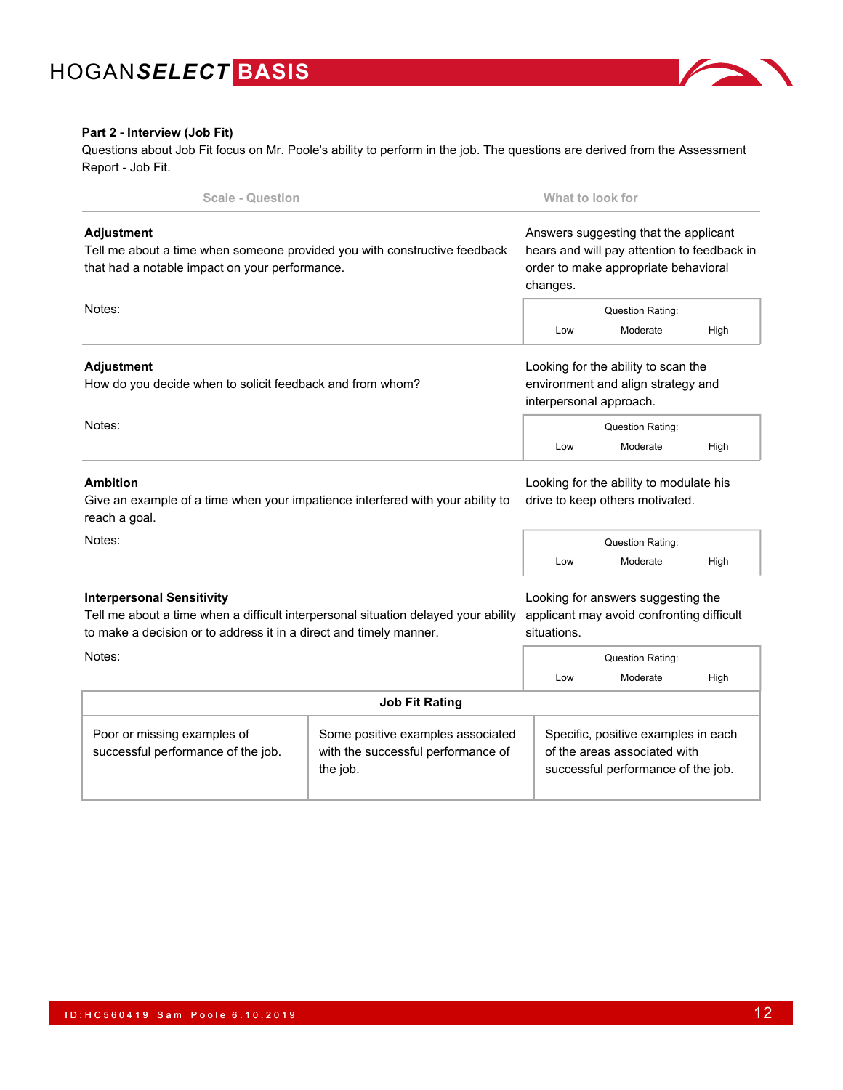

### **Part 2 - Interview (Job Fit)**

Questions about Job Fit focus on Mr. Poole's ability to perform in the job. The questions are derived from the Assessment Report - Job Fit.

| <b>Scale - Question</b>                                                                                                                                                                                |                                                                                     | What to look for |                                                                                                                                          |      |  |
|--------------------------------------------------------------------------------------------------------------------------------------------------------------------------------------------------------|-------------------------------------------------------------------------------------|------------------|------------------------------------------------------------------------------------------------------------------------------------------|------|--|
| <b>Adjustment</b><br>Tell me about a time when someone provided you with constructive feedback<br>that had a notable impact on your performance.                                                       |                                                                                     |                  | Answers suggesting that the applicant<br>hears and will pay attention to feedback in<br>order to make appropriate behavioral<br>changes. |      |  |
| Notes:<br><b>Question Rating:</b><br>Low<br>Moderate                                                                                                                                                   |                                                                                     |                  | High                                                                                                                                     |      |  |
| <b>Adjustment</b><br>How do you decide when to solicit feedback and from whom?                                                                                                                         |                                                                                     |                  | Looking for the ability to scan the<br>environment and align strategy and<br>interpersonal approach.                                     |      |  |
| Notes:                                                                                                                                                                                                 |                                                                                     |                  | <b>Question Rating:</b><br>Moderate                                                                                                      | High |  |
| <b>Ambition</b><br>Give an example of a time when your impatience interfered with your ability to<br>reach a goal.                                                                                     |                                                                                     |                  | Looking for the ability to modulate his<br>drive to keep others motivated.                                                               |      |  |
| Notes:                                                                                                                                                                                                 |                                                                                     | Low              | Question Rating:<br>Moderate                                                                                                             | High |  |
| <b>Interpersonal Sensitivity</b><br>Tell me about a time when a difficult interpersonal situation delayed your ability<br>to make a decision or to address it in a direct and timely manner.<br>Notes: |                                                                                     | situations.      | Looking for answers suggesting the<br>applicant may avoid confronting difficult<br>Question Rating:                                      |      |  |
|                                                                                                                                                                                                        |                                                                                     | Low              | Moderate                                                                                                                                 | High |  |
|                                                                                                                                                                                                        | <b>Job Fit Rating</b>                                                               |                  |                                                                                                                                          |      |  |
| Poor or missing examples of<br>successful performance of the job.                                                                                                                                      | Some positive examples associated<br>with the successful performance of<br>the job. |                  | Specific, positive examples in each<br>of the areas associated with<br>successful performance of the job.                                |      |  |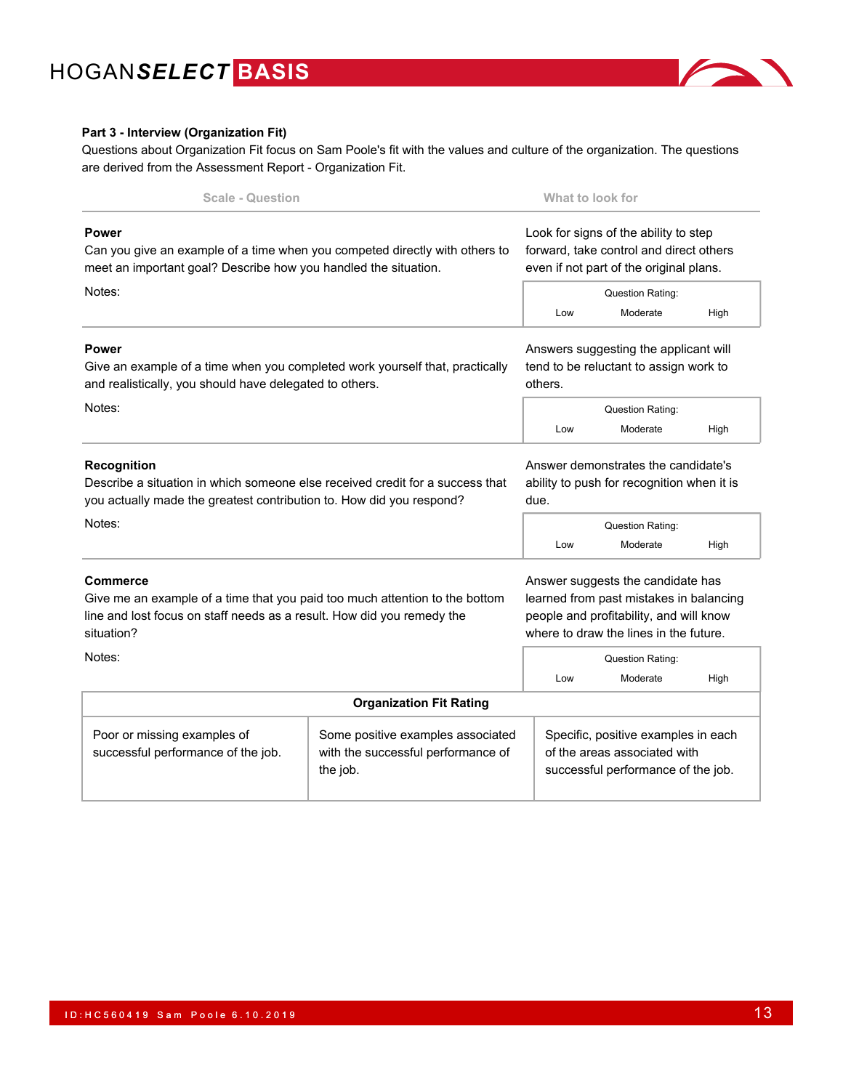

### **Part 3 - Interview (Organization Fit)**

Questions about Organization Fit focus on Sam Poole's fit with the values and culture of the organization. The questions are derived from the Assessment Report - Organization Fit.

| <b>Scale - Question</b>                                                                                                                                                                          |                                                                                     | What to look for                                                                                                                                |                                                                                                                                                                                              |      |  |
|--------------------------------------------------------------------------------------------------------------------------------------------------------------------------------------------------|-------------------------------------------------------------------------------------|-------------------------------------------------------------------------------------------------------------------------------------------------|----------------------------------------------------------------------------------------------------------------------------------------------------------------------------------------------|------|--|
| <b>Power</b><br>Can you give an example of a time when you competed directly with others to<br>meet an important goal? Describe how you handled the situation.<br>Notes:                         |                                                                                     | Look for signs of the ability to step<br>forward, take control and direct others<br>even if not part of the original plans.<br>Question Rating: |                                                                                                                                                                                              |      |  |
|                                                                                                                                                                                                  |                                                                                     | Low                                                                                                                                             | Moderate                                                                                                                                                                                     | High |  |
| <b>Power</b><br>Give an example of a time when you completed work yourself that, practically<br>and realistically, you should have delegated to others.                                          |                                                                                     |                                                                                                                                                 | Answers suggesting the applicant will<br>tend to be reluctant to assign work to<br>others.                                                                                                   |      |  |
| Notes:                                                                                                                                                                                           |                                                                                     |                                                                                                                                                 | Question Rating:<br>Moderate                                                                                                                                                                 | High |  |
| <b>Recognition</b><br>Describe a situation in which someone else received credit for a success that<br>you actually made the greatest contribution to. How did you respond?                      |                                                                                     |                                                                                                                                                 | Answer demonstrates the candidate's<br>ability to push for recognition when it is                                                                                                            |      |  |
| Notes:                                                                                                                                                                                           |                                                                                     | Low                                                                                                                                             | Question Rating:<br>Moderate                                                                                                                                                                 | High |  |
| <b>Commerce</b><br>Give me an example of a time that you paid too much attention to the bottom<br>line and lost focus on staff needs as a result. How did you remedy the<br>situation?<br>Notes: |                                                                                     |                                                                                                                                                 | Answer suggests the candidate has<br>learned from past mistakes in balancing<br>people and profitability, and will know<br>where to draw the lines in the future.<br><b>Question Rating:</b> |      |  |
|                                                                                                                                                                                                  |                                                                                     |                                                                                                                                                 | Moderate                                                                                                                                                                                     | High |  |
|                                                                                                                                                                                                  | <b>Organization Fit Rating</b>                                                      |                                                                                                                                                 |                                                                                                                                                                                              |      |  |
| Poor or missing examples of<br>successful performance of the job.                                                                                                                                | Some positive examples associated<br>with the successful performance of<br>the job. |                                                                                                                                                 | Specific, positive examples in each<br>of the areas associated with<br>successful performance of the job.                                                                                    |      |  |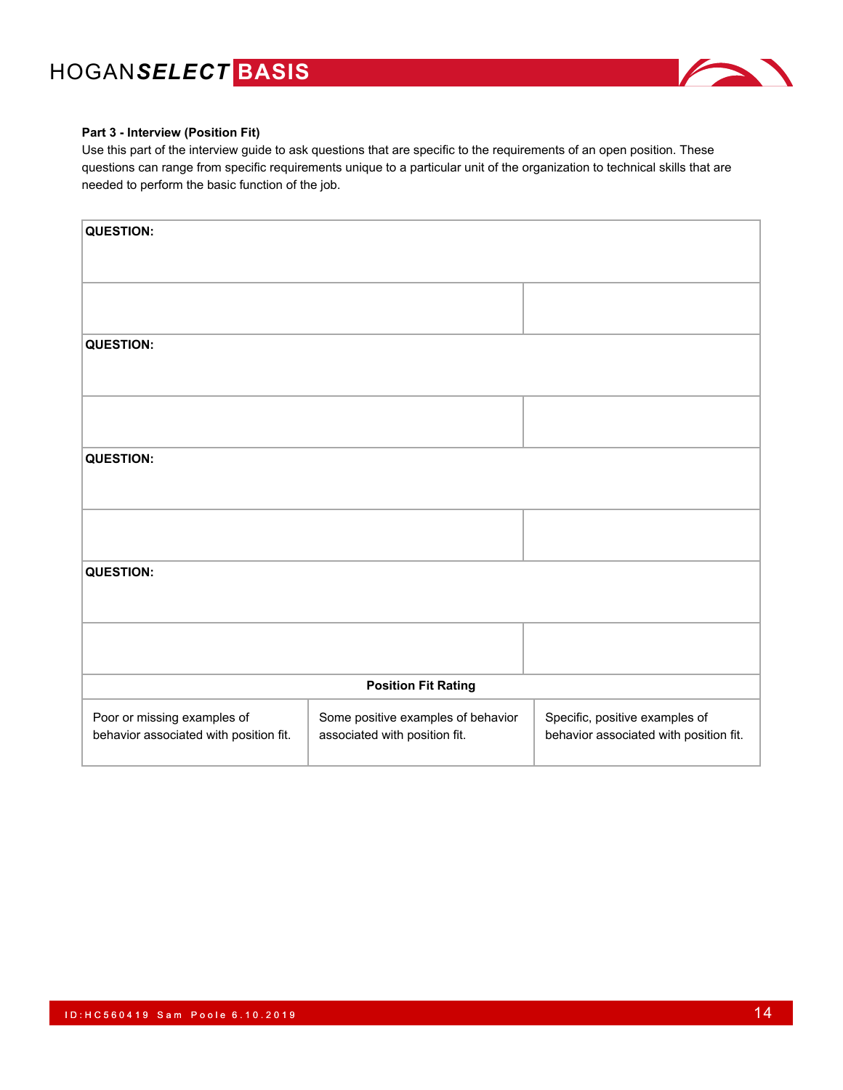

### **Part 3 - Interview (Position Fit)**

Use this part of the interview guide to ask questions that are specific to the requirements of an open position. These questions can range from specific requirements unique to a particular unit of the organization to technical skills that are needed to perform the basic function of the job.

| <b>QUESTION:</b>                                                      |                                                                     |                                                                          |
|-----------------------------------------------------------------------|---------------------------------------------------------------------|--------------------------------------------------------------------------|
|                                                                       |                                                                     |                                                                          |
| <b>QUESTION:</b>                                                      |                                                                     |                                                                          |
|                                                                       |                                                                     |                                                                          |
| <b>QUESTION:</b>                                                      |                                                                     |                                                                          |
|                                                                       |                                                                     |                                                                          |
|                                                                       |                                                                     |                                                                          |
| <b>QUESTION:</b>                                                      |                                                                     |                                                                          |
|                                                                       |                                                                     |                                                                          |
|                                                                       | <b>Position Fit Rating</b>                                          |                                                                          |
| Poor or missing examples of<br>behavior associated with position fit. | Some positive examples of behavior<br>associated with position fit. | Specific, positive examples of<br>behavior associated with position fit. |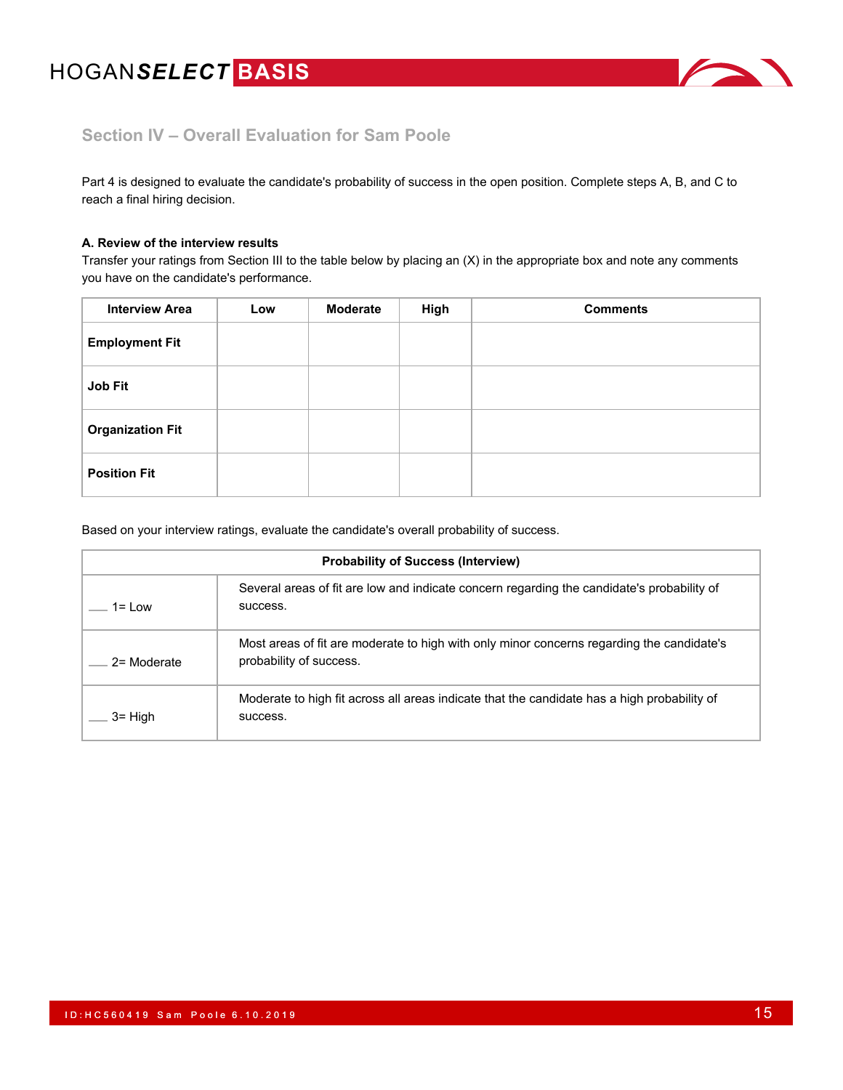

## **Section IV – Overall Evaluation for Sam Poole**

Part 4 is designed to evaluate the candidate's probability of success in the open position. Complete steps A, B, and C to reach a final hiring decision.

### **A. Review of the interview results**

Transfer your ratings from Section III to the table below by placing an (X) in the appropriate box and note any comments you have on the candidate's performance.

| <b>Interview Area</b>   | Low | <b>Moderate</b> | High | <b>Comments</b> |
|-------------------------|-----|-----------------|------|-----------------|
| <b>Employment Fit</b>   |     |                 |      |                 |
| Job Fit                 |     |                 |      |                 |
| <b>Organization Fit</b> |     |                 |      |                 |
| <b>Position Fit</b>     |     |                 |      |                 |

Based on your interview ratings, evaluate the candidate's overall probability of success.

| <b>Probability of Success (Interview)</b> |                                                                                                                      |  |  |  |  |
|-------------------------------------------|----------------------------------------------------------------------------------------------------------------------|--|--|--|--|
| 1= I ow                                   | Several areas of fit are low and indicate concern regarding the candidate's probability of<br>success.               |  |  |  |  |
| 2= Moderate                               | Most areas of fit are moderate to high with only minor concerns regarding the candidate's<br>probability of success. |  |  |  |  |
| $3 =$ High                                | Moderate to high fit across all areas indicate that the candidate has a high probability of<br>success.              |  |  |  |  |